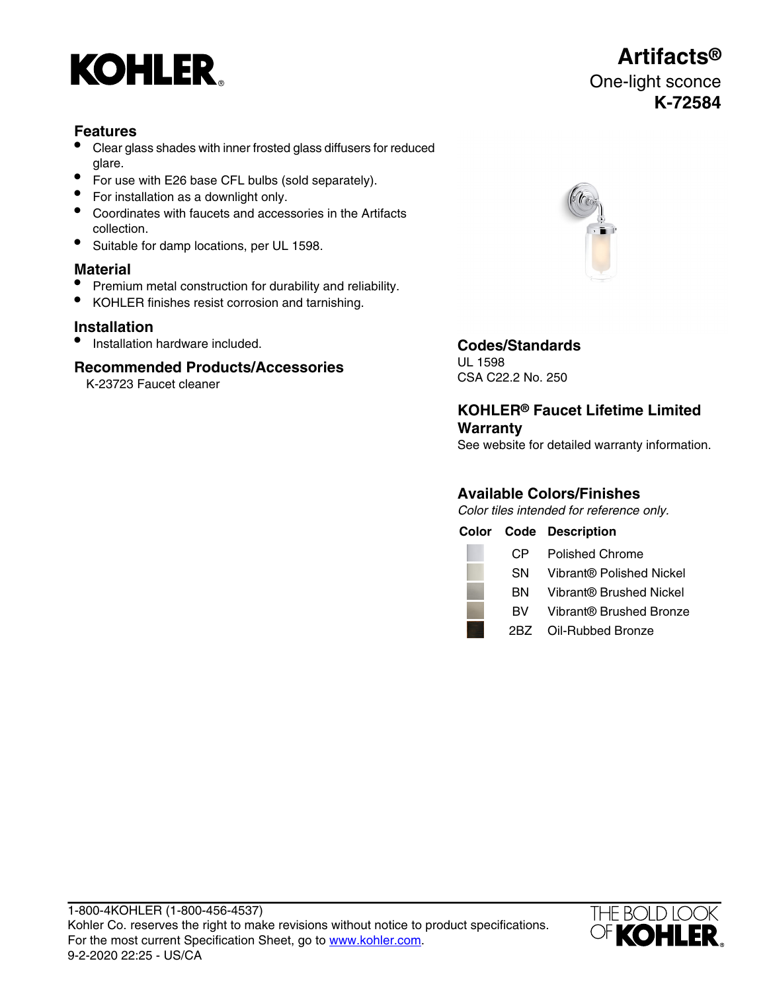

## **Features**

- Clear glass shades with inner frosted glass diffusers for reduced glare.
- For use with E26 base CFL bulbs (sold separately).
- For installation as a downlight only.
- Coordinates with faucets and accessories in the Artifacts collection.
- Suitable for damp locations, per UL 1598.

### **Material**

- Premium metal construction for durability and reliability.
- KOHLER finishes resist corrosion and tarnishing.

## **Installation**

• Installation hardware included. **Codes/Standards**

## **Recommended Products/Accessories**

K-23723 Faucet cleaner



**Artifacts®**



UL 1598 CSA C22.2 No. 250

## **KOHLER® Faucet Lifetime Limited Warranty**

See website for detailed warranty information.

# **Available Colors/Finishes**

Color tiles intended for reference only.

|     | <b>Color Code Description</b> |
|-----|-------------------------------|
| CP. | <b>Polished Chrome</b>        |

- SN Vibrant® Polished Nickel
- BN Vibrant® Brushed Nickel
- BV Vibrant® Brushed Bronze
- 2BZ Oil-Rubbed Bronze